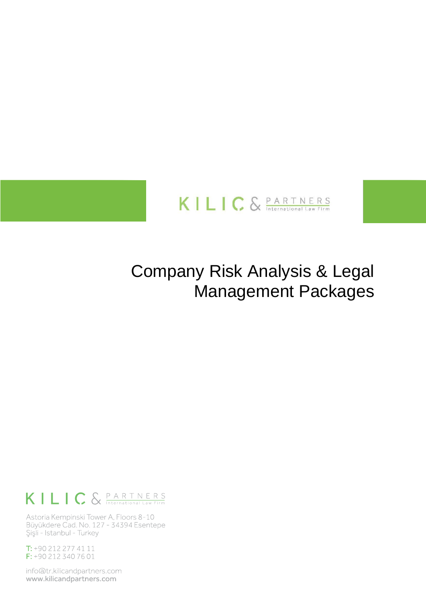

# **Company Risk Analysis & Legal Management Packages**

## KILIC & PARTNERS

Astoria Kempinski Tower A, Floors 8-10 Büyükdere Cad. No. 127 - 34394 Esentepe Şişli - Istanbul - Turkey

T: +90 212 277 41 11 F: +90 212 340 76 01

info@tr.kilicandpartners.com www.kilicandpartners.com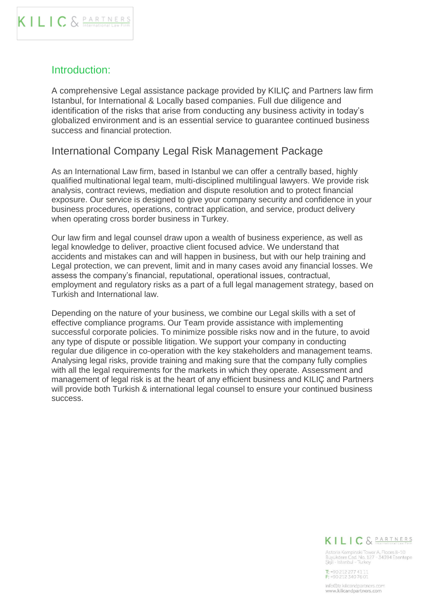#### Introduction:

A comprehensive Legal assistance package provided by KILIÇ and Partners law firm Istanbul, for International & Locally based companies. Full due diligence and identification of the risks that arise from conducting any business activity in today's globalized environment and is an essential service to guarantee continued business success and financial protection.

#### International Company Legal Risk Management Package

As an International Law firm, based in Istanbul we can offer a centrally based, highly qualified multinational legal team, multi-disciplined multilingual lawyers. We provide risk analysis, contract reviews, mediation and dispute resolution and to protect financial exposure. Our service is designed to give your company security and confidence in your business procedures, operations, contract application, and service, product delivery when operating cross border business in Turkey.

Our law firm and legal counsel draw upon a wealth of business experience, as well as legal knowledge to deliver, proactive client focused advice. We understand that accidents and mistakes can and will happen in business, but with our help training and Legal protection, we can prevent, limit and in many cases avoid any financial losses. We assess the company's financial, reputational, operational issues, contractual, employment and regulatory risks as a part of a full legal management strategy, based on Turkish and International law.

Depending on the nature of your business, we combine our Legal skills with a set of effective compliance programs. Our Team provide assistance with implementing successful corporate policies. To minimize possible risks now and in the future, to avoid any type of dispute or possible litigation. We support your company in conducting regular due diligence in co-operation with the key stakeholders and management teams. Analysing legal risks, provide training and making sure that the company fully complies with all the legal requirements for the markets in which they operate. Assessment and management of legal risk is at the heart of any efficient business and KILIÇ and Partners will provide both Turkish & international legal counsel to ensure your continued business success.

### KILIC & PARTNERS

Astoria Kempinski Tower A, Floors 8-10<br>Buyukdere Cad. No. 127 - 34394 Esentepe<br>Şişli - Istanbul - Turkey

T: +90 212 277 41 11<br>F: +90 212 340 76 01

info@tr.kilicandpartners.com<br>www.kilicandpartners.com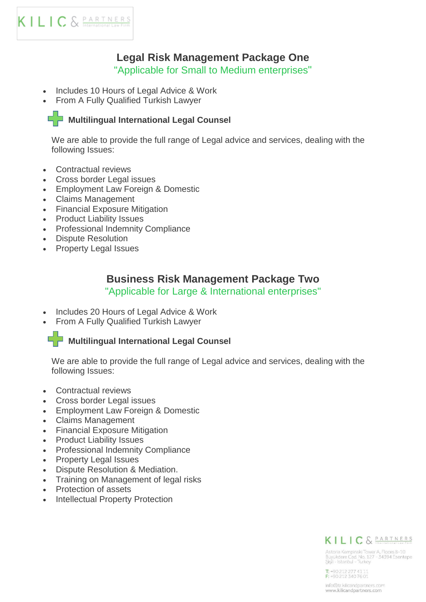### **Legal Risk Management Package One**

"Applicable for Small to Medium enterprises"

- Includes 10 Hours of Legal Advice & Work
- From A Fully Qualified Turkish Lawyer

#### **Multilingual International Legal Counsel**

We are able to provide the full range of Legal advice and services, dealing with the following Issues:

- Contractual reviews
- Cross border Legal issues
- Employment Law Foreign & Domestic
- Claims Management
- Financial Exposure Mitigation
- Product Liability Issues
- Professional Indemnity Compliance
- Dispute Resolution
- Property Legal Issues

#### **Business Risk Management Package Two**

"Applicable for Large & International enterprises"

- Includes 20 Hours of Legal Advice & Work
- From A Fully Qualified Turkish Lawyer

#### **Multilingual International Legal Counsel**

We are able to provide the full range of Legal advice and services, dealing with the following Issues:

- Contractual reviews
- Cross border Legal issues
- Employment Law Foreign & Domestic
- Claims Management
- Financial Exposure Mitigation
- Product Liability Issues
- Professional Indemnity Compliance
- Property Legal Issues
- Dispute Resolution & Mediation.
- Training on Management of legal risks
- Protection of assets
- Intellectual Property Protection



Astoria Kempinski Tower A, Floors 8-10<br>Buyukdere Cad. No. 127 - 34394 Esentepe<br>Şişli - Istanbul - Turkey

T: +90 212 277 41 11<br>F: +90 212 340 76 01

info@tr.kilicandpartners.com<br>www.kilicandpartners.com